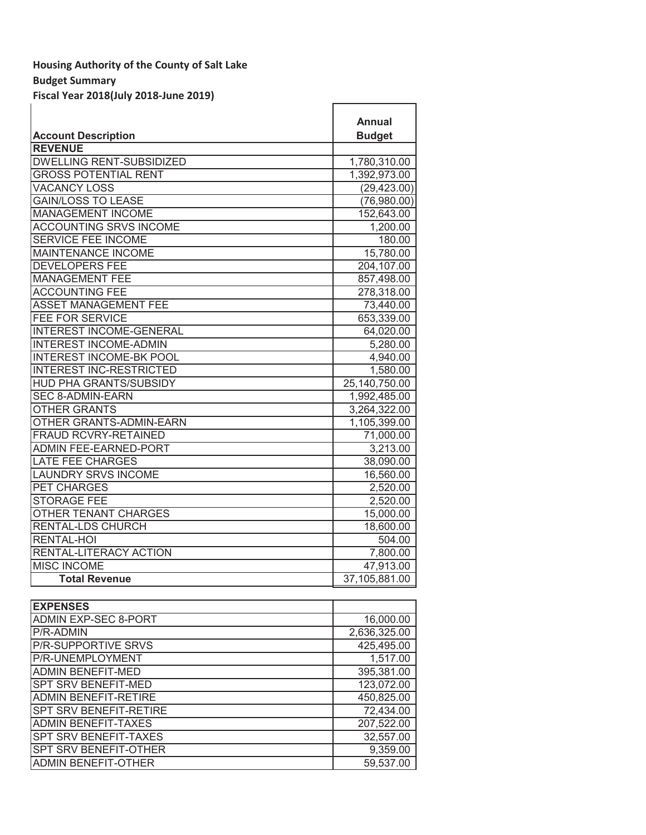# **Budget Summary**

**Fiscal Year 2018(July 2018-June 2019)**

|                                 | <b>Annual</b> |
|---------------------------------|---------------|
| <b>Account Description</b>      | <b>Budget</b> |
| <b>REVENUE</b>                  |               |
| <b>DWELLING RENT-SUBSIDIZED</b> | 1,780,310.00  |
| <b>GROSS POTENTIAL RENT</b>     | 1,392,973.00  |
| <b>VACANCY LOSS</b>             | (29, 423.00)  |
| <b>GAIN/LOSS TO LEASE</b>       | (76,980.00)   |
| <b>MANAGEMENT INCOME</b>        | 152,643.00    |
| <b>ACCOUNTING SRVS INCOME</b>   | 1,200.00      |
| <b>SERVICE FEE INCOME</b>       | 180.00        |
| <b>MAINTENANCE INCOME</b>       | 15,780.00     |
| <b>DEVELOPERS FEE</b>           | 204,107.00    |
| <b>MANAGEMENT FEE</b>           | 857,498.00    |
| <b>ACCOUNTING FEE</b>           | 278,318.00    |
| <b>ASSET MANAGEMENT FEE</b>     | 73,440.00     |
| <b>FEE FOR SERVICE</b>          | 653,339.00    |
| <b>INTEREST INCOME-GENERAL</b>  | 64,020.00     |
| <b>INTEREST INCOME-ADMIN</b>    | 5,280.00      |
| <b>INTEREST INCOME-BK POOL</b>  | 4,940.00      |
| <b>INTEREST INC-RESTRICTED</b>  | 1,580.00      |
| <b>HUD PHA GRANTS/SUBSIDY</b>   | 25,140,750.00 |
| <b>SEC 8-ADMIN-EARN</b>         | 1,992,485.00  |
| <b>OTHER GRANTS</b>             | 3,264,322.00  |
| <b>OTHER GRANTS-ADMIN-EARN</b>  | 1,105,399.00  |
| <b>FRAUD RCVRY-RETAINED</b>     | 71,000.00     |
| <b>ADMIN FEE-EARNED-PORT</b>    | 3,213.00      |
| <b>LATE FEE CHARGES</b>         | 38,090.00     |
| <b>LAUNDRY SRVS INCOME</b>      | 16,560.00     |
| PET CHARGES                     | 2,520.00      |
| <b>STORAGE FEE</b>              | 2,520.00      |
| <b>OTHER TENANT CHARGES</b>     | 15,000.00     |
| RENTAL-LDS CHURCH               | 18,600.00     |
| <b>RENTAL-HOI</b>               | 504.00        |
| RENTAL-LITERACY ACTION          | 7,800.00      |
| <b>MISC INCOME</b>              | 47,913.00     |
| <b>Total Revenue</b>            | 37,105,881.00 |

| <b>EXPENSES</b>              |              |
|------------------------------|--------------|
| <b>ADMIN EXP-SEC 8-PORT</b>  | 16,000.00    |
| <b>P/R-ADMIN</b>             | 2,636,325.00 |
| <b>P/R-SUPPORTIVE SRVS</b>   | 425,495.00   |
| P/R-UNEMPLOYMENT             | 1,517.00     |
| <b>ADMIN BENEFIT-MED</b>     | 395,381.00   |
| <b>SPT SRV BENEFIT-MED</b>   | 123,072.00   |
| <b>ADMIN BENEFIT-RETIRE</b>  | 450,825.00   |
| SPT SRV BENEFIT-RETIRE       | 72,434.00    |
| <b>ADMIN BENEFIT-TAXES</b>   | 207,522.00   |
| <b>SPT SRV BENEFIT-TAXES</b> | 32,557.00    |
| SPT SRV BENEFIT-OTHER        | 9,359.00     |
| <b>ADMIN BENEFIT-OTHER</b>   | 59,537.00    |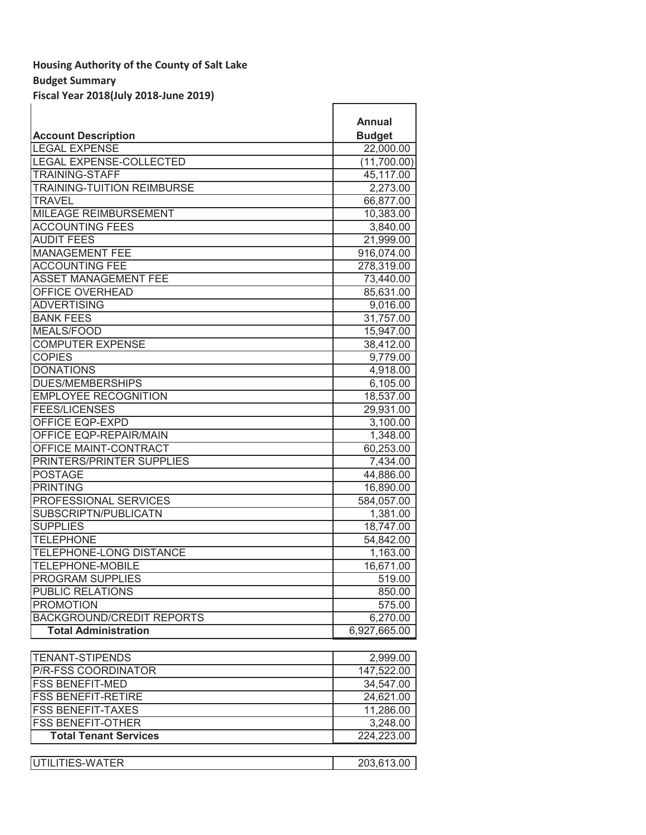# **Budget Summary**

**Fiscal Year 2018(July 2018-June 2019)**

|                                  | <b>Annual</b>           |
|----------------------------------|-------------------------|
| <b>Account Description</b>       | <b>Budget</b>           |
| <b>LEGAL EXPENSE</b>             | $\overline{22}$ ,000.00 |
| <b>LEGAL EXPENSE-COLLECTED</b>   | (11,700.00)             |
| <b>TRAINING-STAFF</b>            | 45,117.00               |
| TRAINING-TUITION REIMBURSE       | 2,273.00                |
| <b>TRAVEL</b>                    | 66,877.00               |
| <b>MILEAGE REIMBURSEMENT</b>     | 10,383.00               |
| <b>ACCOUNTING FEES</b>           | 3,840.00                |
| <b>AUDIT FEES</b>                | $\overline{21}$ ,999.00 |
| <b>MANAGEMENT FEE</b>            | 916,074.00              |
| <b>ACCOUNTING FEE</b>            | 278,319.00              |
| <b>ASSET MANAGEMENT FEE</b>      | 73,440.00               |
| <b>OFFICE OVERHEAD</b>           | 85,631.00               |
| <b>ADVERTISING</b>               | 9,016.00                |
| <b>BANK FEES</b>                 | 31,757.00               |
| <b>MEALS/FOOD</b>                | 15,947.00               |
| <b>COMPUTER EXPENSE</b>          | 38,412.00               |
| <b>COPIES</b>                    | 9,779.00                |
| <b>DONATIONS</b>                 | 4,918.00                |
| <b>DUES/MEMBERSHIPS</b>          | 6,105.00                |
| <b>EMPLOYEE RECOGNITION</b>      | 18,537.00               |
| <b>FEES/LICENSES</b>             | 29,931.00               |
| <b>OFFICE EQP-EXPD</b>           | 3,100.00                |
| OFFICE EQP-REPAIR/MAIN           | 1,348.00                |
| OFFICE MAINT-CONTRACT            | 60,253.00               |
| PRINTERS/PRINTER SUPPLIES        | 7,434.00                |
| <b>POSTAGE</b>                   | 44,886.00               |
| <b>PRINTING</b>                  | 16,890.00               |
| PROFESSIONAL SERVICES            | 584,057.00              |
| SUBSCRIPTN/PUBLICATN             | 1,381.00                |
| <b>SUPPLIES</b>                  | 18,747.00               |
| <b>TELEPHONE</b>                 | 54,842.00               |
| TELEPHONE-LONG DISTANCE          | 1,163.00                |
| <b>TELEPHONE-MOBILE</b>          | 16,671.00               |
| <b>PROGRAM SUPPLIES</b>          | 519.00                  |
| <b>PUBLIC RELATIONS</b>          | 850.00                  |
| <b>PROMOTION</b>                 | 575.00                  |
| <b>BACKGROUND/CREDIT REPORTS</b> | 6.270.00                |
| <b>Total Administration</b>      | 6,927,665.00            |

| <b>TENANT-STIPENDS</b>       | 2,999.00   |
|------------------------------|------------|
| <b>P/R-FSS COORDINATOR</b>   | 147,522.00 |
| <b>IFSS BENEFIT-MED</b>      | 34,547.00  |
| <b>IFSS BENEFIT-RETIRE</b>   | 24,621.00  |
| <b>IFSS BENEFIT-TAXES</b>    | 11,286.00  |
| <b>FSS BENEFIT-OTHER</b>     | 3,248.00   |
| <b>Total Tenant Services</b> | 224,223.00 |
|                              |            |
| UTILITIES-WATER              | 203,613.00 |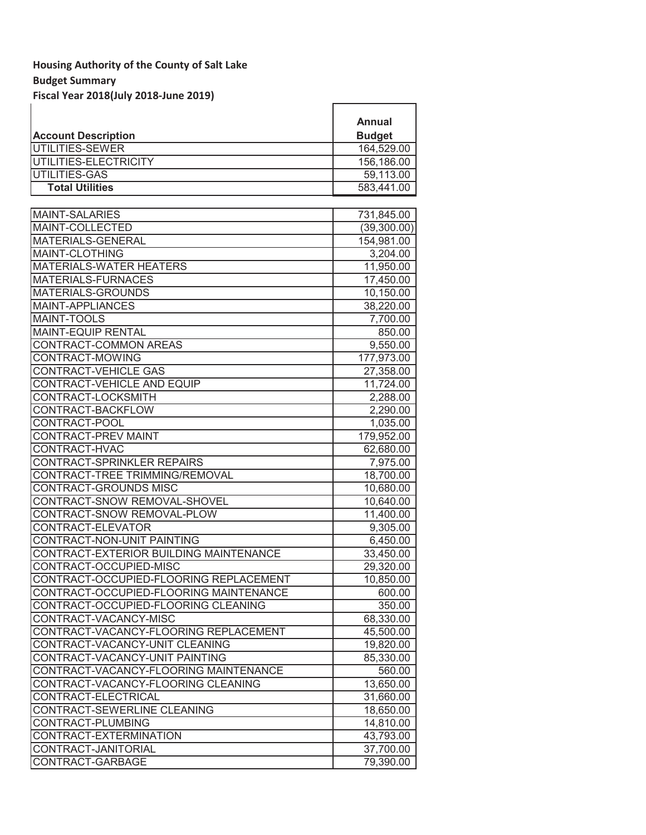# **Budget Summary**

**Fiscal Year 2018(July 2018-June 2019)**

|                                        | Annual        |
|----------------------------------------|---------------|
| <b>Account Description</b>             | <b>Budget</b> |
| UTILITIES-SEWER                        | 164,529.00    |
| UTILITIES-ELECTRICITY                  | 156,186.00    |
| UTILITIES-GAS                          | 59,113.00     |
| <b>Total Utilities</b>                 | 583,441.00    |
|                                        |               |
| <b>MAINT-SALARIES</b>                  | 731,845.00    |
| MAINT-COLLECTED                        | (39,300.00)   |
| MATERIALS-GENERAL                      | 154,981.00    |
| MAINT-CLOTHING                         | 3,204.00      |
| <b>MATERIALS-WATER HEATERS</b>         | 11,950.00     |
| <b>MATERIALS-FURNACES</b>              | 17,450.00     |
| MATERIALS-GROUNDS                      | 10,150.00     |
| MAINT-APPLIANCES                       | 38,220.00     |
| <b>MAINT-TOOLS</b>                     | 7,700.00      |
| <b>MAINT-EQUIP RENTAL</b>              | 850.00        |
| CONTRACT-COMMON AREAS                  | 9,550.00      |
| CONTRACT-MOWING                        | 177,973.00    |
| CONTRACT-VEHICLE GAS                   | 27,358.00     |
| CONTRACT-VEHICLE AND EQUIP             | 11,724.00     |
| CONTRACT-LOCKSMITH                     | 2,288.00      |
| CONTRACT-BACKFLOW                      | 2,290.00      |
| CONTRACT-POOL                          | 1,035.00      |
| CONTRACT-PREV MAINT                    | 179,952.00    |
| CONTRACT-HVAC                          | 62,680.00     |
| CONTRACT-SPRINKLER REPAIRS             | 7,975.00      |
| CONTRACT-TREE TRIMMING/REMOVAL         | 18,700.00     |
| CONTRACT-GROUNDS MISC                  | 10,680.00     |
| CONTRACT-SNOW REMOVAL-SHOVEL           | 10,640.00     |
| CONTRACT-SNOW REMOVAL-PLOW             | 11,400.00     |
| CONTRACT-ELEVATOR                      | 9,305.00      |
| CONTRACT-NON-UNIT PAINTING             | 6,450.00      |
| CONTRACT-EXTERIOR BUILDING MAINTENANCE | 33,450.00     |
| CONTRACT-OCCUPIED-MISC                 | 29,320.00     |
| CONTRACT-OCCUPIED-FLOORING REPLACEMENT | 10,850.00     |
| CONTRACT-OCCUPIED-FLOORING MAINTENANCE | 600.00        |
| CONTRACT-OCCUPIED-FLOORING CLEANING    | 350.00        |
| CONTRACT-VACANCY-MISC                  | 68,330.00     |
| CONTRACT-VACANCY-FLOORING REPLACEMENT  | 45,500.00     |
| CONTRACT-VACANCY-UNIT CLEANING         | 19,820.00     |
| CONTRACT-VACANCY-UNIT PAINTING         | 85,330.00     |
| CONTRACT-VACANCY-FLOORING MAINTENANCE  | 560.00        |
| CONTRACT-VACANCY-FLOORING CLEANING     | 13,650.00     |
| CONTRACT-ELECTRICAL                    | 31,660.00     |
| CONTRACT-SEWERLINE CLEANING            | 18,650.00     |
| CONTRACT-PLUMBING                      | 14,810.00     |
| CONTRACT-EXTERMINATION                 | 43,793.00     |
| CONTRACT-JANITORIAL                    | 37,700.00     |
| CONTRACT-GARBAGE                       | 79,390.00     |